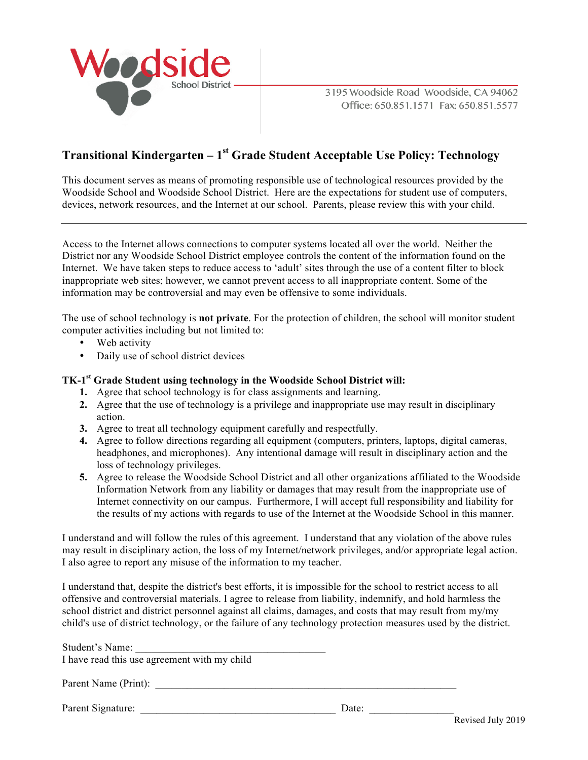

3195 Woodside Road Woodside, CA 94062 Office: 650.851.1571 Fax: 650.851.5577

### **Transitional Kindergarten – 1st Grade Student Acceptable Use Policy: Technology**

This document serves as means of promoting responsible use of technological resources provided by the Woodside School and Woodside School District. Here are the expectations for student use of computers, devices, network resources, and the Internet at our school. Parents, please review this with your child.

Access to the Internet allows connections to computer systems located all over the world. Neither the District nor any Woodside School District employee controls the content of the information found on the Internet. We have taken steps to reduce access to 'adult' sites through the use of a content filter to block inappropriate web sites; however, we cannot prevent access to all inappropriate content. Some of the information may be controversial and may even be offensive to some individuals.

The use of school technology is **not private**. For the protection of children, the school will monitor student computer activities including but not limited to:

- Web activity
- Daily use of school district devices

### **TK-1st Grade Student using technology in the Woodside School District will:**

- **1.** Agree that school technology is for class assignments and learning.
- **2.** Agree that the use of technology is a privilege and inappropriate use may result in disciplinary action.
- **3.** Agree to treat all technology equipment carefully and respectfully.
- **4.** Agree to follow directions regarding all equipment (computers, printers, laptops, digital cameras, headphones, and microphones). Any intentional damage will result in disciplinary action and the loss of technology privileges.
- **5.** Agree to release the Woodside School District and all other organizations affiliated to the Woodside Information Network from any liability or damages that may result from the inappropriate use of Internet connectivity on our campus. Furthermore, I will accept full responsibility and liability for the results of my actions with regards to use of the Internet at the Woodside School in this manner.

I understand and will follow the rules of this agreement. I understand that any violation of the above rules may result in disciplinary action, the loss of my Internet/network privileges, and/or appropriate legal action. I also agree to report any misuse of the information to my teacher.

I understand that, despite the district's best efforts, it is impossible for the school to restrict access to all offensive and controversial materials. I agree to release from liability, indemnify, and hold harmless the school district and district personnel against all claims, damages, and costs that may result from my/my child's use of district technology, or the failure of any technology protection measures used by the district.

| Student's Name:<br>I have read this use agreement with my child |       |  |
|-----------------------------------------------------------------|-------|--|
| Parent Name (Print):                                            |       |  |
| Parent Signature:                                               | Date: |  |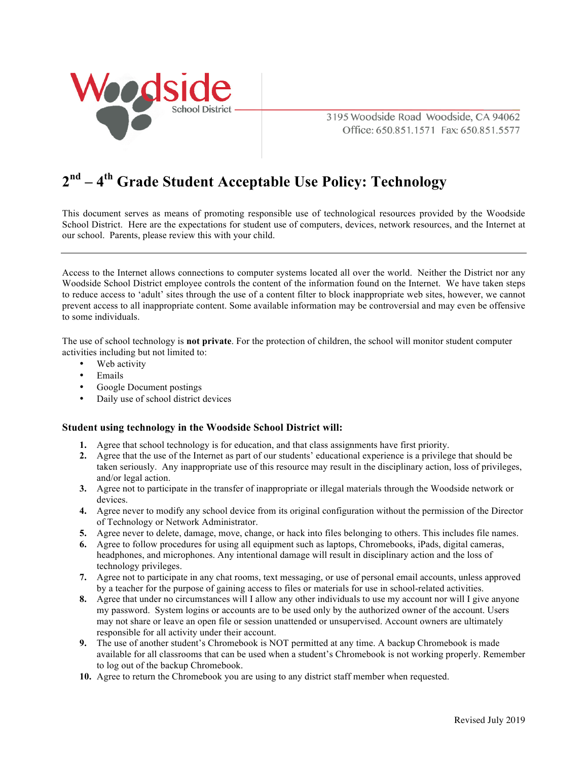

3195 Woodside Road Woodside, CA 94062 Office: 650.851.1571 Fax: 650.851.5577

## **2nd – 4th Grade Student Acceptable Use Policy: Technology**

This document serves as means of promoting responsible use of technological resources provided by the Woodside School District. Here are the expectations for student use of computers, devices, network resources, and the Internet at our school. Parents, please review this with your child.

Access to the Internet allows connections to computer systems located all over the world. Neither the District nor any Woodside School District employee controls the content of the information found on the Internet. We have taken steps to reduce access to 'adult' sites through the use of a content filter to block inappropriate web sites, however, we cannot prevent access to all inappropriate content. Some available information may be controversial and may even be offensive to some individuals.

The use of school technology is **not private**. For the protection of children, the school will monitor student computer activities including but not limited to:

- Web activity
- Emails
- Google Document postings
- Daily use of school district devices

### **Student using technology in the Woodside School District will:**

- **1.** Agree that school technology is for education, and that class assignments have first priority.
- **2.** Agree that the use of the Internet as part of our students' educational experience is a privilege that should be taken seriously. Any inappropriate use of this resource may result in the disciplinary action, loss of privileges, and/or legal action.
- **3.** Agree not to participate in the transfer of inappropriate or illegal materials through the Woodside network or devices.
- **4.** Agree never to modify any school device from its original configuration without the permission of the Director of Technology or Network Administrator.
- **5.** Agree never to delete, damage, move, change, or hack into files belonging to others. This includes file names.
- **6.** Agree to follow procedures for using all equipment such as laptops, Chromebooks, iPads, digital cameras, headphones, and microphones. Any intentional damage will result in disciplinary action and the loss of technology privileges.
- **7.** Agree not to participate in any chat rooms, text messaging, or use of personal email accounts, unless approved by a teacher for the purpose of gaining access to files or materials for use in school-related activities.
- **8.** Agree that under no circumstances will I allow any other individuals to use my account nor will I give anyone my password. System logins or accounts are to be used only by the authorized owner of the account. Users may not share or leave an open file or session unattended or unsupervised. Account owners are ultimately responsible for all activity under their account.
- **9.** The use of another student's Chromebook is NOT permitted at any time. A backup Chromebook is made available for all classrooms that can be used when a student's Chromebook is not working properly. Remember to log out of the backup Chromebook.
- **10.** Agree to return the Chromebook you are using to any district staff member when requested.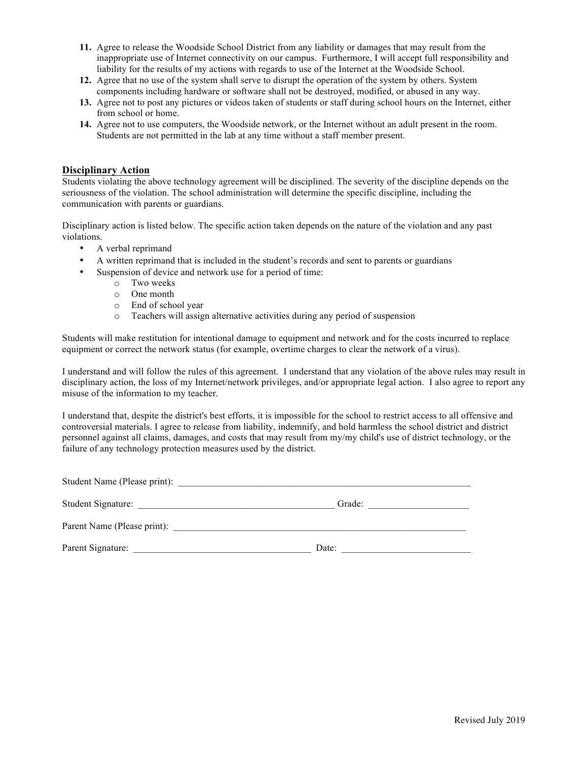- **11.** Agree to release the Woodside School District from any liability or damages that may result from the inappropriate use of Internet connectivity on our campus. Furthermore, I will accept full responsibility and liability for the results of my actions with regards to use of the Internet at the Woodside School.
- **12.** Agree that no use of the system shall serve to disrupt the operation of the system by others. System components including hardware or software shall not be destroyed, modified, or abused in any way.
- **13.** Agree not to post any pictures or videos taken of students or staff during school hours on the Internet, either from school or home.
- **14.** Agree not to use computers, the Woodside network, or the Internet without an adult present in the room. Students are not permitted in the lab at any time without a staff member present.

#### **Disciplinary Action**

Students violating the above technology agreement will be disciplined. The severity of the discipline depends on the seriousness of the violation. The school administration will determine the specific discipline, including the communication with parents or guardians.

Disciplinary action is listed below. The specific action taken depends on the nature of the violation and any past violations.

- A verbal reprimand
- A written reprimand that is included in the student's records and sent to parents or guardians
- Suspension of device and network use for a period of time:
	- o Two weeks
	- o One month
	- o End of school year
	- o Teachers will assign alternative activities during any period of suspension

Students will make restitution for intentional damage to equipment and network and for the costs incurred to replace equipment or correct the network status (for example, overtime charges to clear the network of a virus).

I understand and will follow the rules of this agreement. I understand that any violation of the above rules may result in disciplinary action, the loss of my Internet/network privileges, and/or appropriate legal action. I also agree to report any misuse of the information to my teacher.

I understand that, despite the district's best efforts, it is impossible for the school to restrict access to all offensive and controversial materials. I agree to release from liability, indemnify, and hold harmless the school district and district personnel against all claims, damages, and costs that may result from my/my child's use of district technology, or the failure of any technology protection measures used by the district.

| Student Name (Please print): |        |
|------------------------------|--------|
| Student Signature:           | Grade: |
| Parent Name (Please print):  |        |
| Parent Signature:            | Date:  |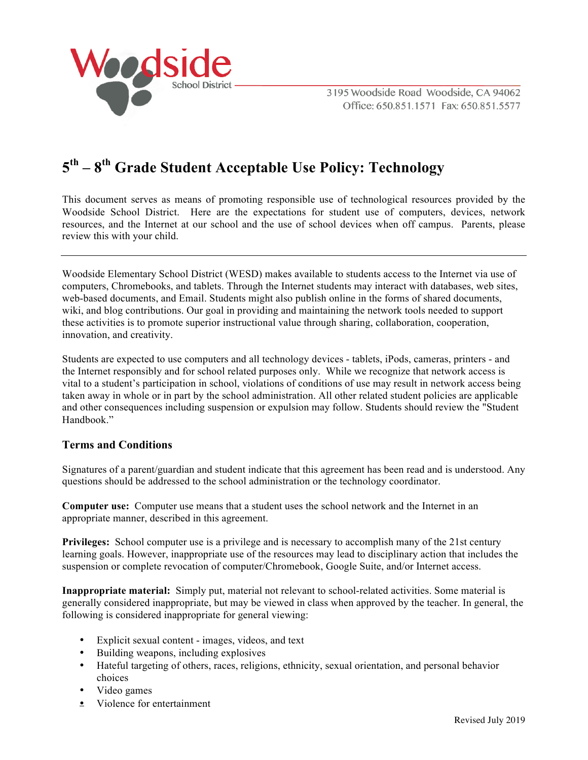

3195 Woodside Road Woodside, CA 94062 Office: 650.851.1571 Fax: 650.851.5577

# **5th – 8th Grade Student Acceptable Use Policy: Technology**

This document serves as means of promoting responsible use of technological resources provided by the Woodside School District. Here are the expectations for student use of computers, devices, network resources, and the Internet at our school and the use of school devices when off campus. Parents, please review this with your child.

Woodside Elementary School District (WESD) makes available to students access to the Internet via use of computers, Chromebooks, and tablets. Through the Internet students may interact with databases, web sites, web-based documents, and Email. Students might also publish online in the forms of shared documents, wiki, and blog contributions. Our goal in providing and maintaining the network tools needed to support these activities is to promote superior instructional value through sharing, collaboration, cooperation, innovation, and creativity.

Students are expected to use computers and all technology devices - tablets, iPods, cameras, printers - and the Internet responsibly and for school related purposes only. While we recognize that network access is vital to a student's participation in school, violations of conditions of use may result in network access being taken away in whole or in part by the school administration. All other related student policies are applicable and other consequences including suspension or expulsion may follow. Students should review the "Student Handbook"

### **Terms and Conditions**

Signatures of a parent/guardian and student indicate that this agreement has been read and is understood. Any questions should be addressed to the school administration or the technology coordinator.

**Computer use:** Computer use means that a student uses the school network and the Internet in an appropriate manner, described in this agreement.

**Privileges:** School computer use is a privilege and is necessary to accomplish many of the 21st century learning goals. However, inappropriate use of the resources may lead to disciplinary action that includes the suspension or complete revocation of computer/Chromebook, Google Suite, and/or Internet access.

**Inappropriate material:** Simply put, material not relevant to school-related activities. Some material is generally considered inappropriate, but may be viewed in class when approved by the teacher. In general, the following is considered inappropriate for general viewing:

- Explicit sexual content images, videos, and text
- Building weapons, including explosives
- Hateful targeting of others, races, religions, ethnicity, sexual orientation, and personal behavior choices
- Video games
- Violence for entertainment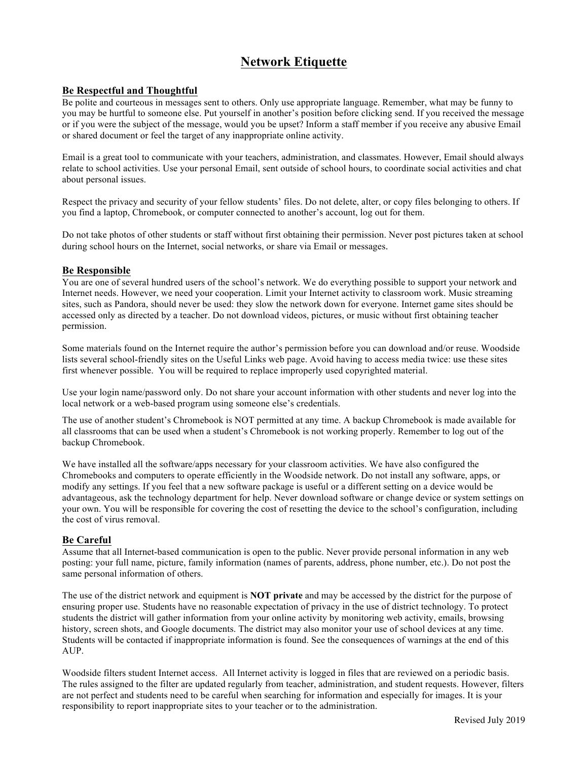### **Network Etiquette**

### **Be Respectful and Thoughtful**

Be polite and courteous in messages sent to others. Only use appropriate language. Remember, what may be funny to you may be hurtful to someone else. Put yourself in another's position before clicking send. If you received the message or if you were the subject of the message, would you be upset? Inform a staff member if you receive any abusive Email or shared document or feel the target of any inappropriate online activity.

Email is a great tool to communicate with your teachers, administration, and classmates. However, Email should always relate to school activities. Use your personal Email, sent outside of school hours, to coordinate social activities and chat about personal issues.

Respect the privacy and security of your fellow students' files. Do not delete, alter, or copy files belonging to others. If you find a laptop, Chromebook, or computer connected to another's account, log out for them.

Do not take photos of other students or staff without first obtaining their permission. Never post pictures taken at school during school hours on the Internet, social networks, or share via Email or messages.

#### **Be Responsible**

You are one of several hundred users of the school's network. We do everything possible to support your network and Internet needs. However, we need your cooperation. Limit your Internet activity to classroom work. Music streaming sites, such as Pandora, should never be used: they slow the network down for everyone. Internet game sites should be accessed only as directed by a teacher. Do not download videos, pictures, or music without first obtaining teacher permission.

Some materials found on the Internet require the author's permission before you can download and/or reuse. Woodside lists several school-friendly sites on the Useful Links web page. Avoid having to access media twice: use these sites first whenever possible. You will be required to replace improperly used copyrighted material.

Use your login name/password only. Do not share your account information with other students and never log into the local network or a web-based program using someone else's credentials.

The use of another student's Chromebook is NOT permitted at any time. A backup Chromebook is made available for all classrooms that can be used when a student's Chromebook is not working properly. Remember to log out of the backup Chromebook.

We have installed all the software/apps necessary for your classroom activities. We have also configured the Chromebooks and computers to operate efficiently in the Woodside network. Do not install any software, apps, or modify any settings. If you feel that a new software package is useful or a different setting on a device would be advantageous, ask the technology department for help. Never download software or change device or system settings on your own. You will be responsible for covering the cost of resetting the device to the school's configuration, including the cost of virus removal.

### **Be Careful**

Assume that all Internet-based communication is open to the public. Never provide personal information in any web posting: your full name, picture, family information (names of parents, address, phone number, etc.). Do not post the same personal information of others.

The use of the district network and equipment is **NOT private** and may be accessed by the district for the purpose of ensuring proper use. Students have no reasonable expectation of privacy in the use of district technology. To protect students the district will gather information from your online activity by monitoring web activity, emails, browsing history, screen shots, and Google documents. The district may also monitor your use of school devices at any time. Students will be contacted if inappropriate information is found. See the consequences of warnings at the end of this AUP.

Woodside filters student Internet access. All Internet activity is logged in files that are reviewed on a periodic basis. The rules assigned to the filter are updated regularly from teacher, administration, and student requests. However, filters are not perfect and students need to be careful when searching for information and especially for images. It is your responsibility to report inappropriate sites to your teacher or to the administration.